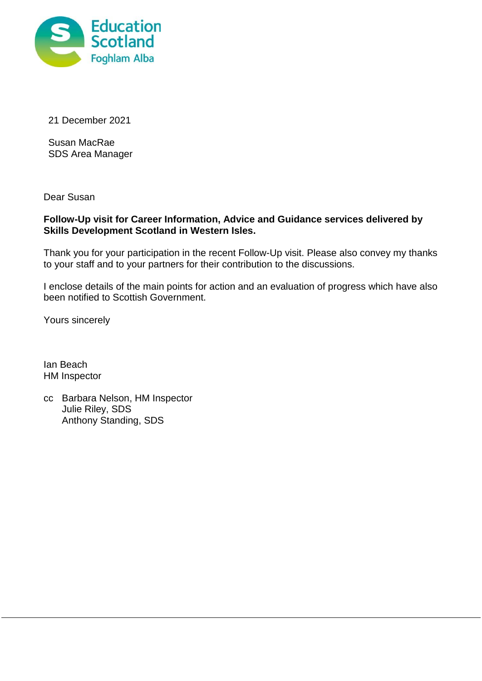

21 December 2021

Susan MacRae SDS Area Manager

Dear Susan

# **Follow-Up visit for Career Information, Advice and Guidance services delivered by Skills Development Scotland in Western Isles.**

Thank you for your participation in the recent Follow-Up visit. Please also convey my thanks to your staff and to your partners for their contribution to the discussions.

I enclose details of the main points for action and an evaluation of progress which have also been notified to Scottish Government.

Yours sincerely

Ian Beach HM Inspector

cc Barbara Nelson, HM Inspector Julie Riley, SDS Anthony Standing, SDS